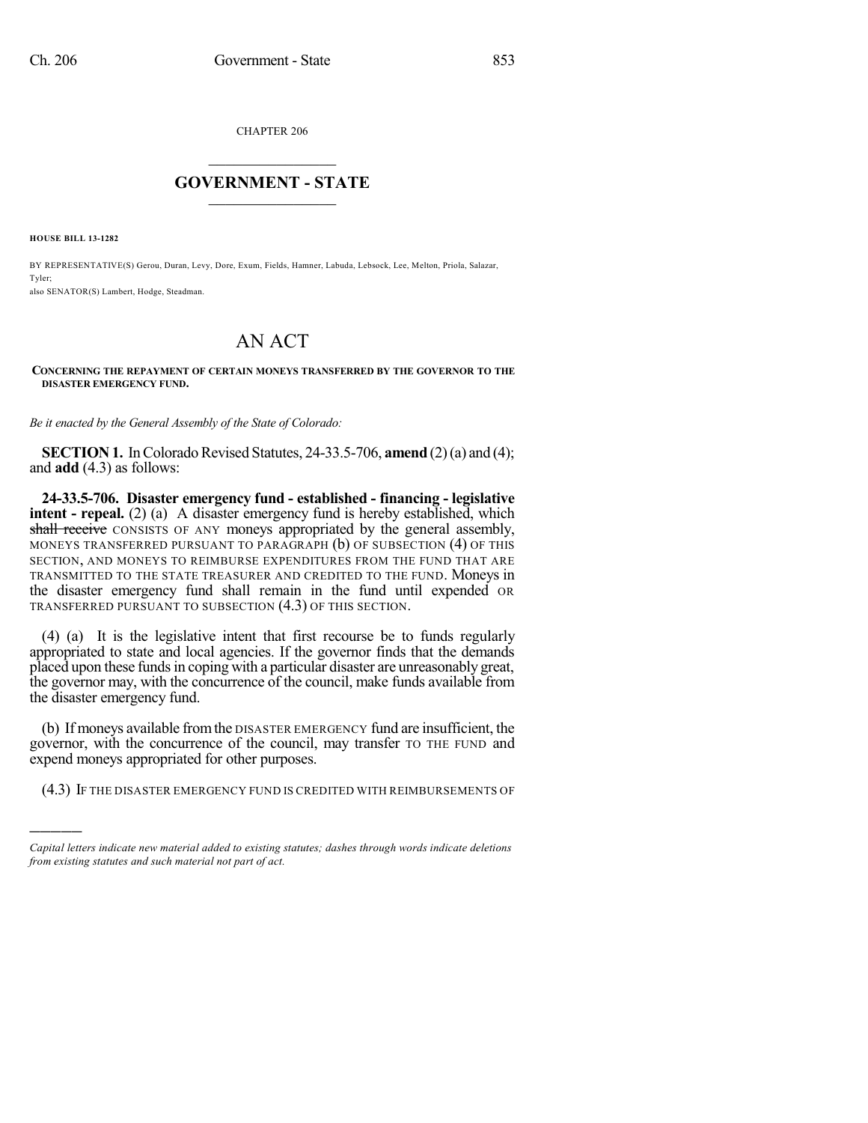CHAPTER 206

## $\mathcal{L}_\text{max}$  . The set of the set of the set of the set of the set of the set of the set of the set of the set of the set of the set of the set of the set of the set of the set of the set of the set of the set of the set **GOVERNMENT - STATE**  $\_$

**HOUSE BILL 13-1282**

)))))

BY REPRESENTATIVE(S) Gerou, Duran, Levy, Dore, Exum, Fields, Hamner, Labuda, Lebsock, Lee, Melton, Priola, Salazar, Tyler;

also SENATOR(S) Lambert, Hodge, Steadman.

## AN ACT

## **CONCERNING THE REPAYMENT OF CERTAIN MONEYS TRANSFERRED BY THE GOVERNOR TO THE DISASTER EMERGENCY FUND.**

*Be it enacted by the General Assembly of the State of Colorado:*

**SECTION 1.** In Colorado Revised Statutes, 24-33.5-706, **amend** (2) (a) and (4); and **add** (4.3) as follows:

**24-33.5-706. Disaster emergency fund - established - financing - legislative intent - repeal.** (2) (a) A disaster emergency fund is hereby established, which shall receive CONSISTS OF ANY moneys appropriated by the general assembly, MONEYS TRANSFERRED PURSUANT TO PARAGRAPH (b) OF SUBSECTION (4) OF THIS SECTION, AND MONEYS TO REIMBURSE EXPENDITURES FROM THE FUND THAT ARE TRANSMITTED TO THE STATE TREASURER AND CREDITED TO THE FUND. Moneys in the disaster emergency fund shall remain in the fund until expended OR TRANSFERRED PURSUANT TO SUBSECTION (4.3) OF THIS SECTION.

(4) (a) It is the legislative intent that first recourse be to funds regularly appropriated to state and local agencies. If the governor finds that the demands placed upon these fundsin coping with a particular disaster are unreasonably great, the governor may, with the concurrence of the council, make funds available from the disaster emergency fund.

(b) If moneys available fromthe DISASTER EMERGENCY fund are insufficient, the governor, with the concurrence of the council, may transfer TO THE FUND and expend moneys appropriated for other purposes.

(4.3) IF THE DISASTER EMERGENCY FUND IS CREDITED WITH REIMBURSEMENTS OF

*Capital letters indicate new material added to existing statutes; dashes through words indicate deletions from existing statutes and such material not part of act.*